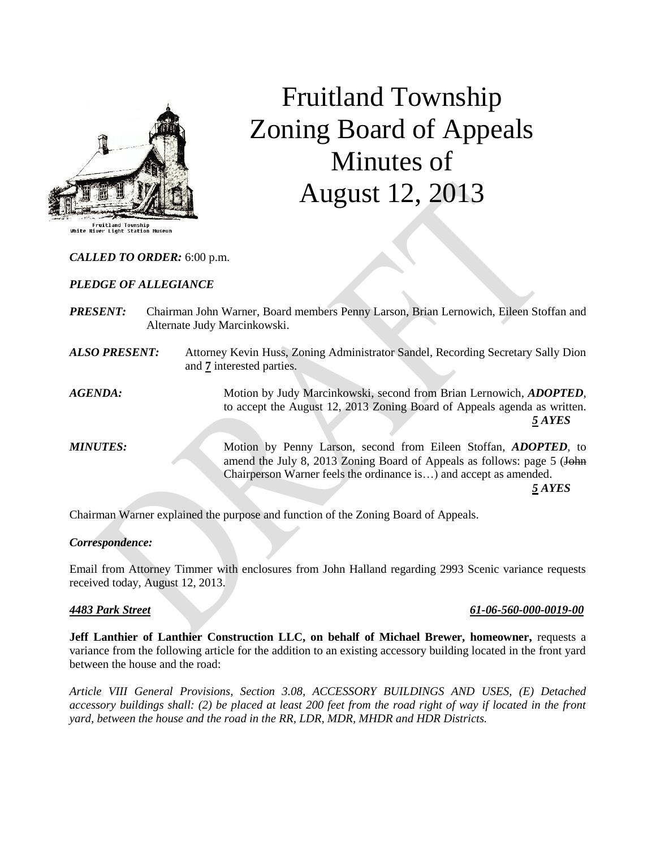

# Fruitland Township Zoning Board of Appeals Minutes of August 12, 2013

*CALLED TO ORDER:* 6:00 p.m.

#### *PLEDGE OF ALLEGIANCE*

| PRESENT: | Chairman John Warner, Board members Penny Larson, Brian Lernowich, Eileen Stoffan and |
|----------|---------------------------------------------------------------------------------------|
|          | Alternate Judy Marcinkowski.                                                          |
|          |                                                                                       |

- *ALSO PRESENT:* Attorney Kevin Huss, Zoning Administrator Sandel, Recording Secretary Sally Dion and **7** interested parties.
- *AGENDA:* Motion by Judy Marcinkowski, second from Brian Lernowich, *ADOPTED,*  to accept the August 12, 2013 Zoning Board of Appeals agenda as written.  *5 AYES*

*MINUTES:* Motion by Penny Larson, second from Eileen Stoffan, *ADOPTED,* to amend the July 8, 2013 Zoning Board of Appeals as follows: page 5 (John Chairperson Warner feels the ordinance is…) and accept as amended.

*5 AYES*

Chairman Warner explained the purpose and function of the Zoning Board of Appeals.

### *Correspondence:*

Email from Attorney Timmer with enclosures from John Halland regarding 2993 Scenic variance requests received today, August 12, 2013.

#### *4483 Park Street 61-06-560-000-0019-00*

**Jeff Lanthier of Lanthier Construction LLC, on behalf of Michael Brewer, homeowner,** requests a variance from the following article for the addition to an existing accessory building located in the front yard between the house and the road:

*Article VIII General Provisions, Section 3.08, ACCESSORY BUILDINGS AND USES, (E) Detached accessory buildings shall: (2) be placed at least 200 feet from the road right of way if located in the front yard, between the house and the road in the RR, LDR, MDR, MHDR and HDR Districts.*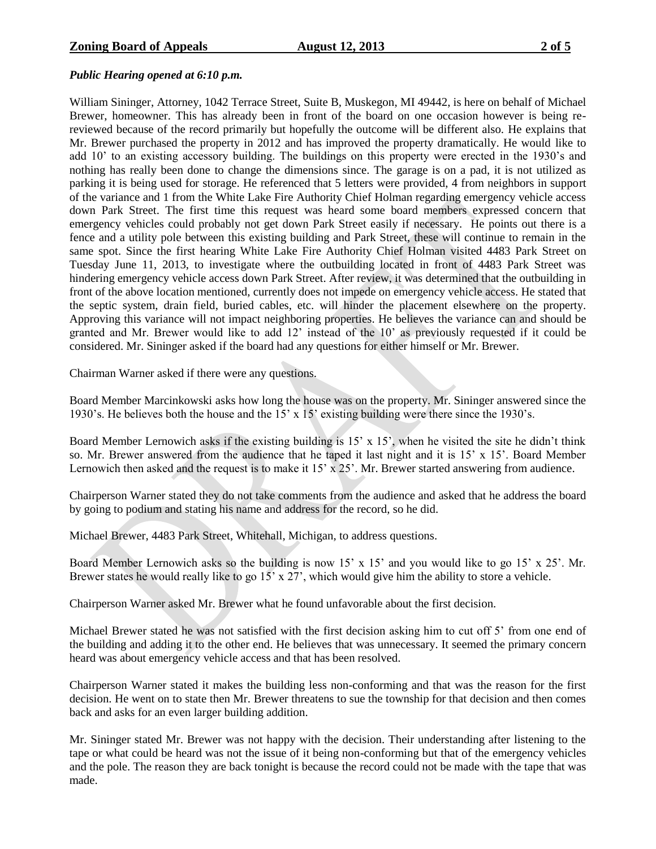# *Public Hearing opened at 6:10 p.m.*

William Sininger, Attorney, 1042 Terrace Street, Suite B, Muskegon, MI 49442, is here on behalf of Michael Brewer, homeowner. This has already been in front of the board on one occasion however is being rereviewed because of the record primarily but hopefully the outcome will be different also. He explains that Mr. Brewer purchased the property in 2012 and has improved the property dramatically. He would like to add 10' to an existing accessory building. The buildings on this property were erected in the 1930's and nothing has really been done to change the dimensions since. The garage is on a pad, it is not utilized as parking it is being used for storage. He referenced that 5 letters were provided, 4 from neighbors in support of the variance and 1 from the White Lake Fire Authority Chief Holman regarding emergency vehicle access down Park Street. The first time this request was heard some board members expressed concern that emergency vehicles could probably not get down Park Street easily if necessary. He points out there is a fence and a utility pole between this existing building and Park Street, these will continue to remain in the same spot. Since the first hearing White Lake Fire Authority Chief Holman visited 4483 Park Street on Tuesday June 11, 2013, to investigate where the outbuilding located in front of 4483 Park Street was hindering emergency vehicle access down Park Street. After review, it was determined that the outbuilding in front of the above location mentioned, currently does not impede on emergency vehicle access. He stated that the septic system, drain field, buried cables, etc. will hinder the placement elsewhere on the property. Approving this variance will not impact neighboring properties. He believes the variance can and should be granted and Mr. Brewer would like to add 12' instead of the 10' as previously requested if it could be considered. Mr. Sininger asked if the board had any questions for either himself or Mr. Brewer.

Chairman Warner asked if there were any questions.

Board Member Marcinkowski asks how long the house was on the property. Mr. Sininger answered since the 1930's. He believes both the house and the 15' x 15' existing building were there since the 1930's.

Board Member Lernowich asks if the existing building is 15' x 15', when he visited the site he didn't think so. Mr. Brewer answered from the audience that he taped it last night and it is 15' x 15'. Board Member Lernowich then asked and the request is to make it 15' x 25'. Mr. Brewer started answering from audience.

Chairperson Warner stated they do not take comments from the audience and asked that he address the board by going to podium and stating his name and address for the record, so he did.

Michael Brewer, 4483 Park Street, Whitehall, Michigan, to address questions.

Board Member Lernowich asks so the building is now  $15' \times 15'$  and you would like to go  $15' \times 25'$ . Mr. Brewer states he would really like to go 15' x 27', which would give him the ability to store a vehicle.

Chairperson Warner asked Mr. Brewer what he found unfavorable about the first decision.

Michael Brewer stated he was not satisfied with the first decision asking him to cut off 5' from one end of the building and adding it to the other end. He believes that was unnecessary. It seemed the primary concern heard was about emergency vehicle access and that has been resolved.

Chairperson Warner stated it makes the building less non-conforming and that was the reason for the first decision. He went on to state then Mr. Brewer threatens to sue the township for that decision and then comes back and asks for an even larger building addition.

Mr. Sininger stated Mr. Brewer was not happy with the decision. Their understanding after listening to the tape or what could be heard was not the issue of it being non-conforming but that of the emergency vehicles and the pole. The reason they are back tonight is because the record could not be made with the tape that was made.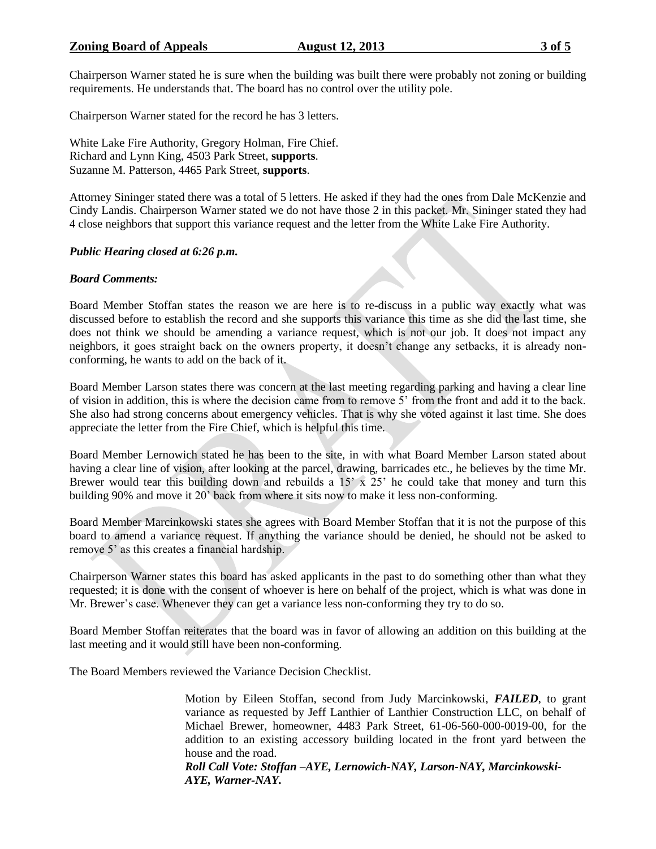Chairperson Warner stated he is sure when the building was built there were probably not zoning or building requirements. He understands that. The board has no control over the utility pole.

Chairperson Warner stated for the record he has 3 letters.

White Lake Fire Authority, Gregory Holman, Fire Chief. Richard and Lynn King, 4503 Park Street, **supports**. Suzanne M. Patterson, 4465 Park Street, **supports**.

Attorney Sininger stated there was a total of 5 letters. He asked if they had the ones from Dale McKenzie and Cindy Landis. Chairperson Warner stated we do not have those 2 in this packet. Mr. Sininger stated they had 4 close neighbors that support this variance request and the letter from the White Lake Fire Authority.

# *Public Hearing closed at 6:26 p.m.*

# *Board Comments:*

Board Member Stoffan states the reason we are here is to re-discuss in a public way exactly what was discussed before to establish the record and she supports this variance this time as she did the last time, she does not think we should be amending a variance request, which is not our job. It does not impact any neighbors, it goes straight back on the owners property, it doesn't change any setbacks, it is already nonconforming, he wants to add on the back of it.

Board Member Larson states there was concern at the last meeting regarding parking and having a clear line of vision in addition, this is where the decision came from to remove 5' from the front and add it to the back. She also had strong concerns about emergency vehicles. That is why she voted against it last time. She does appreciate the letter from the Fire Chief, which is helpful this time.

Board Member Lernowich stated he has been to the site, in with what Board Member Larson stated about having a clear line of vision, after looking at the parcel, drawing, barricades etc., he believes by the time Mr. Brewer would tear this building down and rebuilds a  $15'$  x  $25'$  he could take that money and turn this building 90% and move it 20' back from where it sits now to make it less non-conforming.

Board Member Marcinkowski states she agrees with Board Member Stoffan that it is not the purpose of this board to amend a variance request. If anything the variance should be denied, he should not be asked to remove 5' as this creates a financial hardship.

Chairperson Warner states this board has asked applicants in the past to do something other than what they requested; it is done with the consent of whoever is here on behalf of the project, which is what was done in Mr. Brewer's case. Whenever they can get a variance less non-conforming they try to do so.

Board Member Stoffan reiterates that the board was in favor of allowing an addition on this building at the last meeting and it would still have been non-conforming.

The Board Members reviewed the Variance Decision Checklist.

Motion by Eileen Stoffan, second from Judy Marcinkowski, *FAILED*, to grant variance as requested by Jeff Lanthier of Lanthier Construction LLC, on behalf of Michael Brewer, homeowner, 4483 Park Street, 61-06-560-000-0019-00, for the addition to an existing accessory building located in the front yard between the house and the road.

*Roll Call Vote: Stoffan –AYE, Lernowich-NAY, Larson-NAY, Marcinkowski-AYE, Warner-NAY.*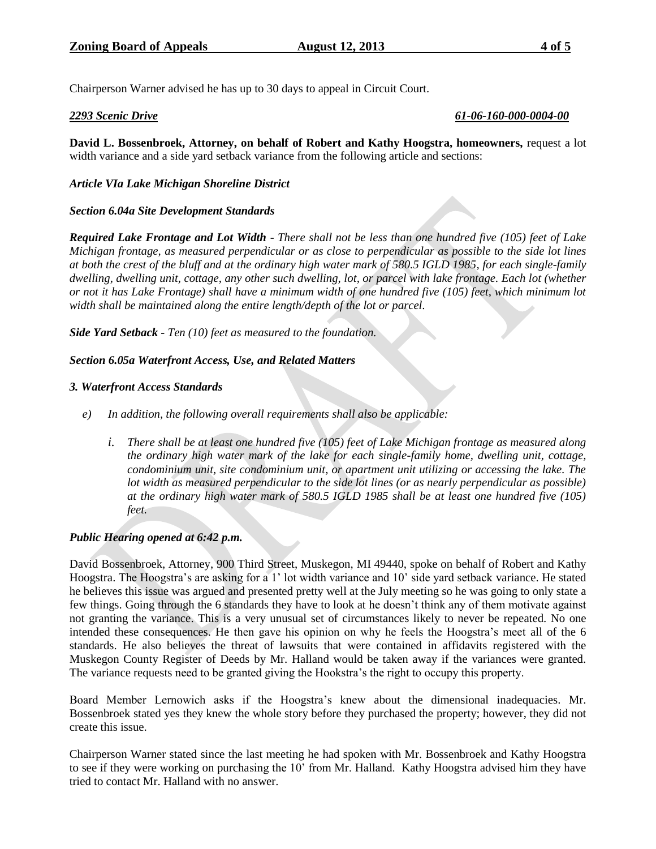Chairperson Warner advised he has up to 30 days to appeal in Circuit Court.

# *2293 Scenic Drive 61-06-160-000-0004-00*

**David L. Bossenbroek, Attorney, on behalf of Robert and Kathy Hoogstra, homeowners,** request a lot width variance and a side yard setback variance from the following article and sections:

# *Article VIa Lake Michigan Shoreline District*

### *Section 6.04a Site Development Standards*

*Required Lake Frontage and Lot Width* - *There shall not be less than one hundred five (105) feet of Lake Michigan frontage, as measured perpendicular or as close to perpendicular as possible to the side lot lines at both the crest of the bluff and at the ordinary high water mark of 580.5 IGLD 1985, for each single-family dwelling, dwelling unit, cottage, any other such dwelling, lot, or parcel with lake frontage. Each lot (whether or not it has Lake Frontage) shall have a minimum width of one hundred five (105) feet, which minimum lot width shall be maintained along the entire length/depth of the lot or parcel.*

*Side Yard Setback - Ten (10) feet as measured to the foundation.*

### *Section 6.05a Waterfront Access, Use, and Related Matters*

### *3. Waterfront Access Standards*

- *e) In addition, the following overall requirements shall also be applicable:*
	- *i. There shall be at least one hundred five (105) feet of Lake Michigan frontage as measured along the ordinary high water mark of the lake for each single-family home, dwelling unit, cottage, condominium unit, site condominium unit, or apartment unit utilizing or accessing the lake. The lot width as measured perpendicular to the side lot lines (or as nearly perpendicular as possible) at the ordinary high water mark of 580.5 IGLD 1985 shall be at least one hundred five (105) feet.*

### *Public Hearing opened at 6:42 p.m.*

David Bossenbroek, Attorney, 900 Third Street, Muskegon, MI 49440, spoke on behalf of Robert and Kathy Hoogstra. The Hoogstra's are asking for a 1' lot width variance and 10' side yard setback variance. He stated he believes this issue was argued and presented pretty well at the July meeting so he was going to only state a few things. Going through the 6 standards they have to look at he doesn't think any of them motivate against not granting the variance. This is a very unusual set of circumstances likely to never be repeated. No one intended these consequences. He then gave his opinion on why he feels the Hoogstra's meet all of the 6 standards. He also believes the threat of lawsuits that were contained in affidavits registered with the Muskegon County Register of Deeds by Mr. Halland would be taken away if the variances were granted. The variance requests need to be granted giving the Hookstra's the right to occupy this property.

Board Member Lernowich asks if the Hoogstra's knew about the dimensional inadequacies. Mr. Bossenbroek stated yes they knew the whole story before they purchased the property; however, they did not create this issue.

Chairperson Warner stated since the last meeting he had spoken with Mr. Bossenbroek and Kathy Hoogstra to see if they were working on purchasing the 10' from Mr. Halland. Kathy Hoogstra advised him they have tried to contact Mr. Halland with no answer.